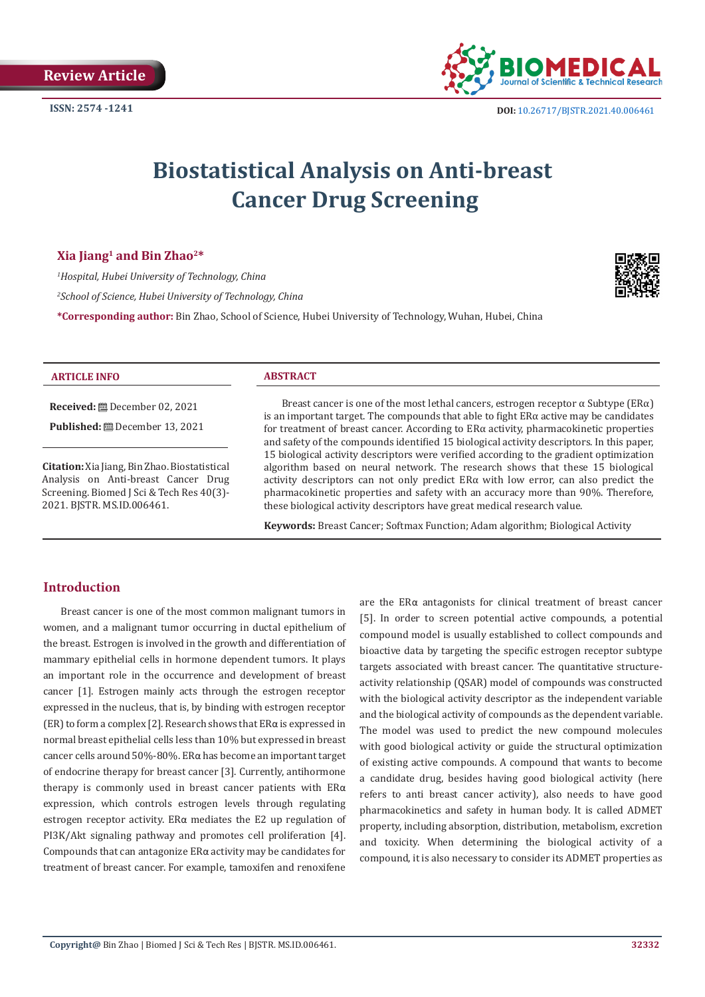

# **Biostatistical Analysis on Anti-breast Cancer Drug Screening**

## **Xia Jiang1 and Bin Zhao2\***

*1 Hospital, Hubei University of Technology, China*

*2 School of Science, Hubei University of Technology, China*

**\*Corresponding author:** Bin Zhao, School of Science, Hubei University of Technology, Wuhan, Hubei, China



#### **ARTICLE INFO ABSTRACT**

**Received:** December 02, 2021

**Published:** December 13, 2021

**Citation:** Xia Jiang, Bin Zhao. Biostatistical Analysis on Anti-breast Cancer Drug Screening. Biomed J Sci & Tech Res 40(3)- 2021. BJSTR. MS.ID.006461.

Breast cancer is one of the most lethal cancers, estrogen receptor  $\alpha$  Subtype (ER $\alpha$ ) is an important target. The compounds that able to fight  $ER\alpha$  active may be candidates for treatment of breast cancer. According to  $ER\alpha$  activity, pharmacokinetic properties and safety of the compounds identified 15 biological activity descriptors. In this paper, 15 biological activity descriptors were verified according to the gradient optimization algorithm based on neural network. The research shows that these 15 biological activity descriptors can not only predict ERα with low error, can also predict the pharmacokinetic properties and safety with an accuracy more than 90%. Therefore, these biological activity descriptors have great medical research value.

**Keywords:** Breast Cancer; Softmax Function; Adam algorithm; Biological Activity

# **Introduction**

Breast cancer is one of the most common malignant tumors in women, and a malignant tumor occurring in ductal epithelium of the breast. Estrogen is involved in the growth and differentiation of mammary epithelial cells in hormone dependent tumors. It plays an important role in the occurrence and development of breast cancer [1]. Estrogen mainly acts through the estrogen receptor expressed in the nucleus, that is, by binding with estrogen receptor (ER) to form a complex [2]. Research shows that ERα is expressed in normal breast epithelial cells less than 10% but expressed in breast cancer cells around 50%-80%. ERα has become an important target of endocrine therapy for breast cancer [3]. Currently, antihormone therapy is commonly used in breast cancer patients with ERα expression, which controls estrogen levels through regulating estrogen receptor activity. ERα mediates the E2 up regulation of PI3K/Akt signaling pathway and promotes cell proliferation [4]. Compounds that can antagonize ERα activity may be candidates for treatment of breast cancer. For example, tamoxifen and renoxifene

are the ERα antagonists for clinical treatment of breast cancer [5]. In order to screen potential active compounds, a potential compound model is usually established to collect compounds and bioactive data by targeting the specific estrogen receptor subtype targets associated with breast cancer. The quantitative structureactivity relationship (QSAR) model of compounds was constructed with the biological activity descriptor as the independent variable and the biological activity of compounds as the dependent variable. The model was used to predict the new compound molecules with good biological activity or guide the structural optimization of existing active compounds. A compound that wants to become a candidate drug, besides having good biological activity (here refers to anti breast cancer activity), also needs to have good pharmacokinetics and safety in human body. It is called ADMET property, including absorption, distribution, metabolism, excretion and toxicity. When determining the biological activity of a compound, it is also necessary to consider its ADMET properties as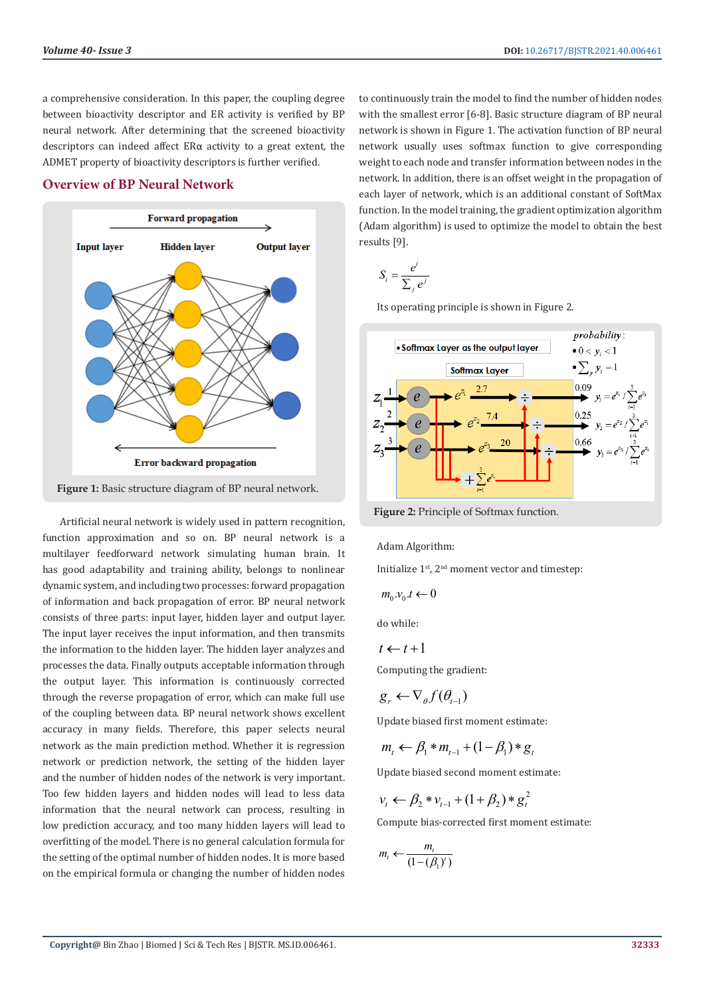a comprehensive consideration. In this paper, the coupling degree between bioactivity descriptor and ER activity is verified by BP neural network. After determining that the screened bioactivity descriptors can indeed affect ERα activity to a great extent, the ADMET property of bioactivity descriptors is further verified.

## **Overview of BP Neural Network**



**Figure 1:** Basic structure diagram of BP neural network.

Artificial neural network is widely used in pattern recognition, function approximation and so on. BP neural network is a multilayer feedforward network simulating human brain. It has good adaptability and training ability, belongs to nonlinear dynamic system, and including two processes: forward propagation of information and back propagation of error. BP neural network consists of three parts: input layer, hidden layer and output layer. The input layer receives the input information, and then transmits the information to the hidden layer. The hidden layer analyzes and processes the data. Finally outputs acceptable information through the output layer. This information is continuously corrected through the reverse propagation of error, which can make full use of the coupling between data. BP neural network shows excellent accuracy in many fields. Therefore, this paper selects neural network as the main prediction method. Whether it is regression network or prediction network, the setting of the hidden layer and the number of hidden nodes of the network is very important. Too few hidden layers and hidden nodes will lead to less data information that the neural network can process, resulting in low prediction accuracy, and too many hidden layers will lead to overfitting of the model. There is no general calculation formula for the setting of the optimal number of hidden nodes. It is more based on the empirical formula or changing the number of hidden nodes

to continuously train the model to find the number of hidden nodes with the smallest error [6-8]. Basic structure diagram of BP neural network is shown in Figure 1. The activation function of BP neural network usually uses softmax function to give corresponding weight to each node and transfer information between nodes in the network. In addition, there is an offset weight in the propagation of each layer of network, which is an additional constant of SoftMax function. In the model training, the gradient optimization algorithm (Adam algorithm) is used to optimize the model to obtain the best results [9].

$$
S_i = \frac{e^i}{\sum_j e^j}
$$

Its operating principle is shown in Figure 2.



**Figure 2:** Principle of Softmax function.

Adam Algorithm:

Initialize  $1^{st}$ ,  $2^{nd}$  moment vector and timestep:

$$
m_0.v_0.t \leftarrow 0
$$

do while:

$$
t \leftarrow t+1
$$

Computing the gradient:

$$
g_r \leftarrow \nabla_{\theta} f(\theta_{t-1})
$$

Update biased first moment estimate:

$$
m_{t} \leftarrow \beta_1 * m_{t-1} + (1 - \beta_1) * g_{t}
$$

Update biased second moment estimate:

$$
v_t \leftarrow \beta_2 * v_{t-1} + (1 + \beta_2) * g_t^2
$$

Compute bias-corrected first moment estimate:

$$
m_t \leftarrow \frac{m_t}{(1 - (\beta_1)^t)}
$$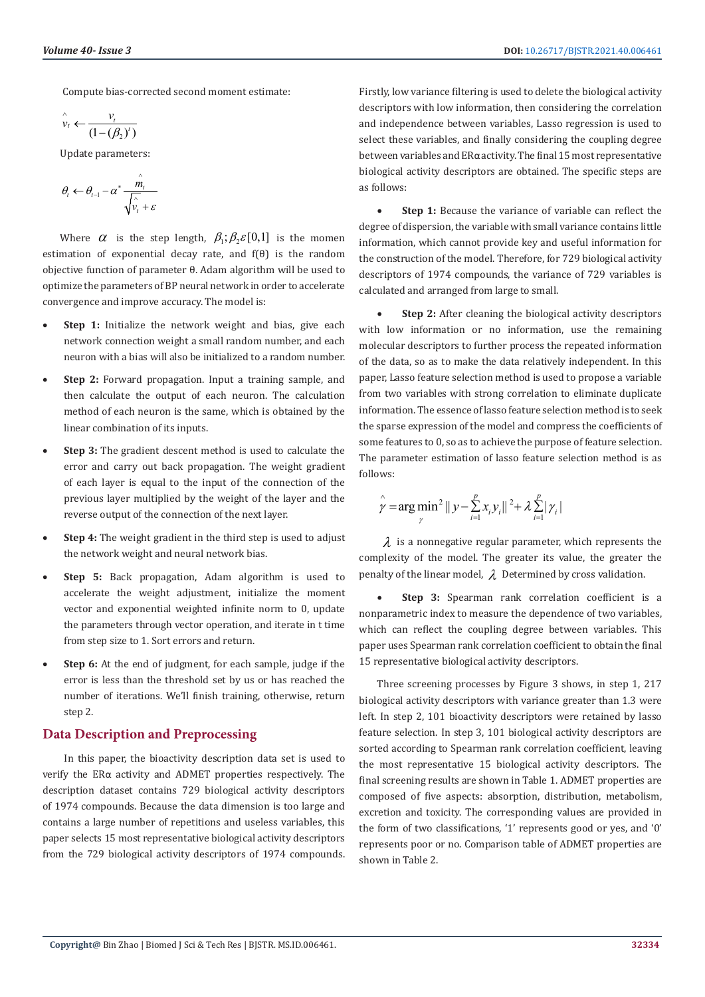Compute bias-corrected second moment estimate:

$$
\hat{v}_t \leftarrow \frac{v_t}{(1 - (\beta_2)^t)}
$$

Update parameters:

$$
\theta_{t} \leftarrow \theta_{t-1} - \alpha^* \frac{\hat{m}_t}{\sqrt{\hat{v}_t + \varepsilon}}
$$

Where  $\alpha$  is the step length,  $\beta_1$ ;  $\beta_2 \in [0,1]$  is the momen estimation of exponential decay rate, and f(θ) is the random objective function of parameter θ. Adam algorithm will be used to optimize the parameters of BP neural network in order to accelerate convergence and improve accuracy. The model is:

- **Step 1:** Initialize the network weight and bias, give each network connection weight a small random number, and each neuron with a bias will also be initialized to a random number.
- **Step 2:** Forward propagation. Input a training sample, and then calculate the output of each neuron. The calculation method of each neuron is the same, which is obtained by the linear combination of its inputs.
- **Step 3:** The gradient descent method is used to calculate the error and carry out back propagation. The weight gradient of each layer is equal to the input of the connection of the previous layer multiplied by the weight of the layer and the reverse output of the connection of the next layer.
- **Step 4:** The weight gradient in the third step is used to adjust the network weight and neural network bias.
- **Step 5:** Back propagation, Adam algorithm is used to accelerate the weight adjustment, initialize the moment vector and exponential weighted infinite norm to 0, update the parameters through vector operation, and iterate in t time from step size to 1. Sort errors and return.
- **Step 6:** At the end of judgment, for each sample, judge if the error is less than the threshold set by us or has reached the number of iterations. We'll finish training, otherwise, return step 2.

#### **Data Description and Preprocessing**

 In this paper, the bioactivity description data set is used to verify the ERα activity and ADMET properties respectively. The description dataset contains 729 biological activity descriptors of 1974 compounds. Because the data dimension is too large and contains a large number of repetitions and useless variables, this paper selects 15 most representative biological activity descriptors from the 729 biological activity descriptors of 1974 compounds. Firstly, low variance filtering is used to delete the biological activity descriptors with low information, then considering the correlation and independence between variables, Lasso regression is used to select these variables, and finally considering the coupling degree between variables and ERα activity. The final 15 most representative biological activity descriptors are obtained. The specific steps are as follows:

**Step 1:** Because the variance of variable can reflect the degree of dispersion, the variable with small variance contains little information, which cannot provide key and useful information for the construction of the model. Therefore, for 729 biological activity descriptors of 1974 compounds, the variance of 729 variables is calculated and arranged from large to small.

**Step 2:** After cleaning the biological activity descriptors with low information or no information, use the remaining molecular descriptors to further process the repeated information of the data, so as to make the data relatively independent. In this paper, Lasso feature selection method is used to propose a variable from two variables with strong correlation to eliminate duplicate information. The essence of lasso feature selection method is to seek the sparse expression of the model and compress the coefficients of some features to 0, so as to achieve the purpose of feature selection. The parameter estimation of lasso feature selection method is as follows:

$$
\hat{\gamma} = \arg \min_{\gamma}^{2} ||y - \sum_{i=1}^{p} x_{i} y_{i}||^{2} + \lambda \sum_{i=1}^{p} |\gamma_{i}|
$$

 $\lambda$  is a nonnegative regular parameter, which represents the complexity of the model. The greater its value, the greater the penalty of the linear model,  $\lambda$  Determined by cross validation.

**Step 3:** Spearman rank correlation coefficient is a nonparametric index to measure the dependence of two variables, which can reflect the coupling degree between variables. This paper uses Spearman rank correlation coefficient to obtain the final 15 representative biological activity descriptors.

Three screening processes by Figure 3 shows, in step 1, 217 biological activity descriptors with variance greater than 1.3 were left. In step 2, 101 bioactivity descriptors were retained by lasso feature selection. In step 3, 101 biological activity descriptors are sorted according to Spearman rank correlation coefficient, leaving the most representative 15 biological activity descriptors. The final screening results are shown in Table 1. ADMET properties are composed of five aspects: absorption, distribution, metabolism, excretion and toxicity. The corresponding values are provided in the form of two classifications, '1' represents good or yes, and '0' represents poor or no. Comparison table of ADMET properties are shown in Table 2.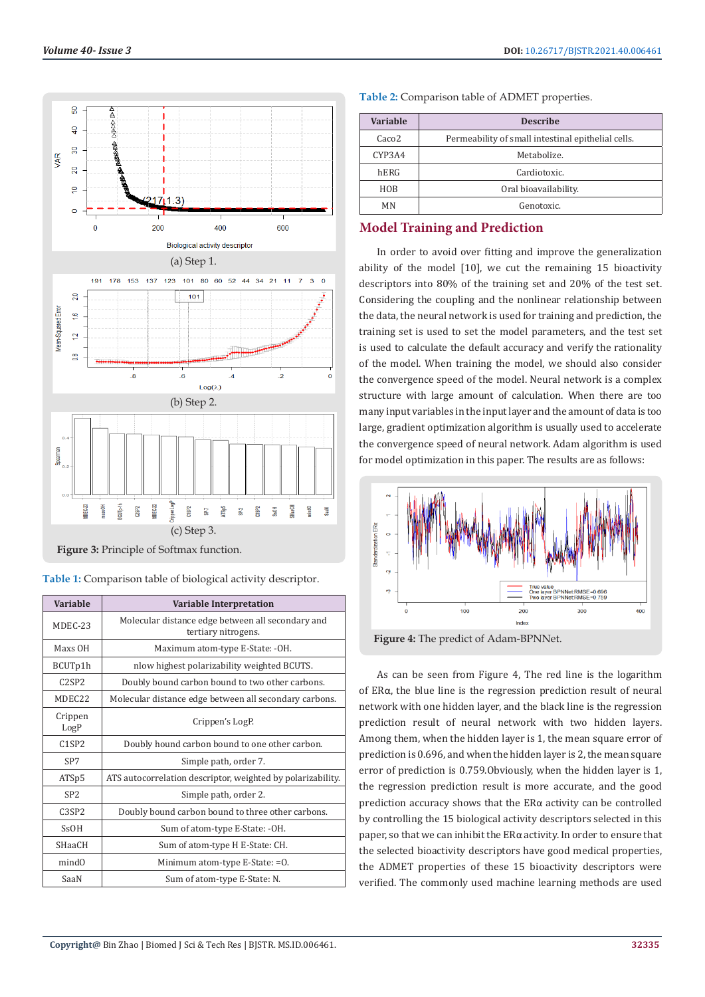

**Figure 3:** Principle of Softmax function.

|  |  | Table 1: Comparison table of biological activity descriptor. |  |  |  |  |
|--|--|--------------------------------------------------------------|--|--|--|--|

| Variable                       | <b>Variable Interpretation</b>                                           |  |  |  |
|--------------------------------|--------------------------------------------------------------------------|--|--|--|
| MDEC-23                        | Molecular distance edge between all secondary and<br>tertiary nitrogens. |  |  |  |
| Maxs OH                        | Maximum atom-type E-State: -OH.                                          |  |  |  |
| BCUTp1h                        | nlow highest polarizability weighted BCUTS.                              |  |  |  |
| C2SP2                          | Doubly bound carbon bound to two other carbons.                          |  |  |  |
| MDEC22                         | Molecular distance edge between all secondary carbons.                   |  |  |  |
| Crippen<br>LogP                | Crippen's LogP.                                                          |  |  |  |
| C1SP2                          | Doubly hound carbon bound to one other carbon.                           |  |  |  |
| SP7                            | Simple path, order 7.                                                    |  |  |  |
| ATS <sub>p5</sub>              | ATS autocorrelation descriptor, weighted by polarizability.              |  |  |  |
| SP <sub>2</sub>                | Simple path, order 2.                                                    |  |  |  |
| C <sub>3</sub> SP <sub>2</sub> | Doubly bound carbon bound to three other carbons.                        |  |  |  |
| S <sub>S</sub> OH              | Sum of atom-type E-State: -OH.                                           |  |  |  |
| <b>SHaaCH</b>                  | Sum of atom-type H E-State: CH.                                          |  |  |  |
| mindO                          | Minimum atom-type E-State: =0.                                           |  |  |  |
| SaaN                           | Sum of atom-type E-State: N.                                             |  |  |  |

| Volume 40- Issue 3 | DOI: 10.26717/BJSTR.2021.40.006461<br>the contract of the contract of the contract of the contract of the contract of the contract of the contract of |
|--------------------|-------------------------------------------------------------------------------------------------------------------------------------------------------|
|                    |                                                                                                                                                       |

| Variable          | <b>Describe</b>                                    |
|-------------------|----------------------------------------------------|
| Caco <sub>2</sub> | Permeability of small intestinal epithelial cells. |
| CYP3A4            | Metabolize.                                        |
| hERG              | Cardiotoxic.                                       |
| <b>HOB</b>        | Oral bioavailability.                              |
| ΜN                | Genotoxic.                                         |

#### **Table 2:** Comparison table of ADMET properties.

# **Model Training and Prediction**

In order to avoid over fitting and improve the generalization ability of the model [10], we cut the remaining 15 bioactivity descriptors into 80% of the training set and 20% of the test set. Considering the coupling and the nonlinear relationship between the data, the neural network is used for training and prediction, the training set is used to set the model parameters, and the test set is used to calculate the default accuracy and verify the rationality of the model. When training the model, we should also consider the convergence speed of the model. Neural network is a complex structure with large amount of calculation. When there are too many input variables in the input layer and the amount of data is too large, gradient optimization algorithm is usually used to accelerate the convergence speed of neural network. Adam algorithm is used for model optimization in this paper. The results are as follows:



**Figure 4:** The predict of Adam-BPNNet.

As can be seen from Figure 4, The red line is the logarithm of ERα, the blue line is the regression prediction result of neural network with one hidden layer, and the black line is the regression prediction result of neural network with two hidden layers. Among them, when the hidden layer is 1, the mean square error of prediction is 0.696, and when the hidden layer is 2, the mean square error of prediction is 0.759.Obviously, when the hidden layer is 1, the regression prediction result is more accurate, and the good prediction accuracy shows that the ERα activity can be controlled by controlling the 15 biological activity descriptors selected in this paper, so that we can inhibit the ERα activity. In order to ensure that the selected bioactivity descriptors have good medical properties, the ADMET properties of these 15 bioactivity descriptors were verified. The commonly used machine learning methods are used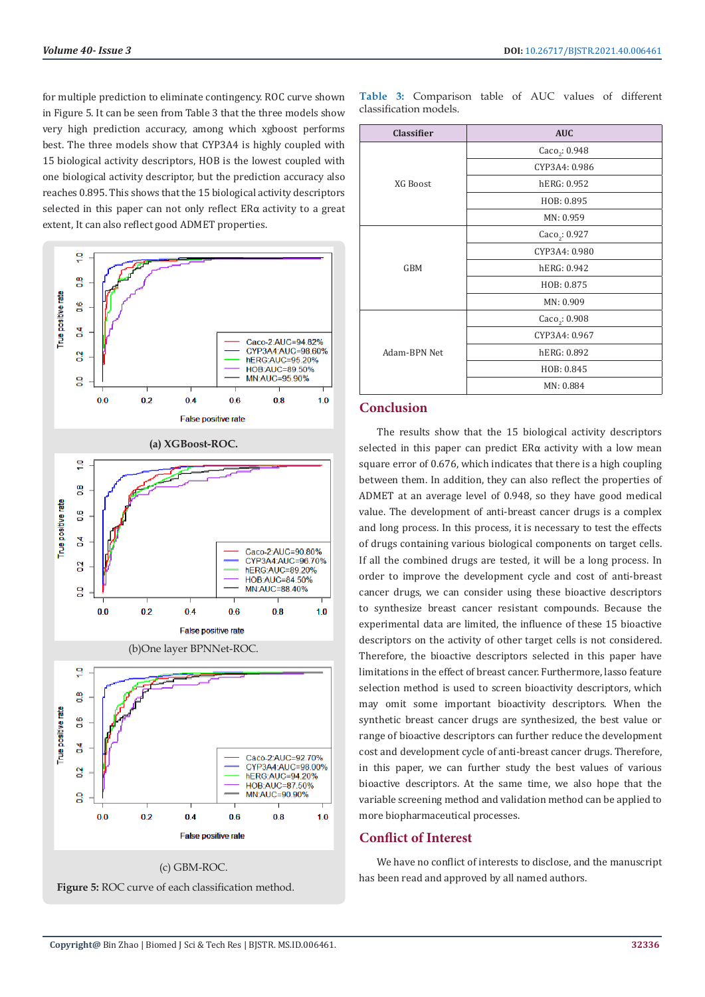for multiple prediction to eliminate contingency. ROC curve shown in Figure 5. It can be seen from Table 3 that the three models show very high prediction accuracy, among which xgboost performs best. The three models show that CYP3A4 is highly coupled with 15 biological activity descriptors, HOB is the lowest coupled with one biological activity descriptor, but the prediction accuracy also reaches 0.895. This shows that the 15 biological activity descriptors selected in this paper can not only reflect ERα activity to a great extent, It can also reflect good ADMET properties.



**Figure 5:** ROC curve of each classification method.

**Table 3:** Comparison table of AUC values of different classification models.

| <b>Classifier</b> | <b>AUC</b>                    |
|-------------------|-------------------------------|
|                   | Caco <sub>2</sub> : 0.948     |
|                   | CYP3A4: 0.986                 |
| XG Boost          | hERG: 0.952                   |
|                   | HOB: 0.895                    |
|                   | MN: 0.959                     |
|                   | Caco <sub>2</sub> : 0.927     |
|                   | CYP3A4: 0.980                 |
| <b>GBM</b>        | hERG: 0.942                   |
|                   | HOB: 0.875                    |
|                   | MN: 0.909                     |
|                   | $Caco$ <sub>2</sub> : $0.908$ |
|                   | CYP3A4: 0.967                 |
| Adam-BPN Net      | hERG: 0.892                   |
|                   | HOB: 0.845                    |
|                   | MN: 0.884                     |

# **Conclusion**

The results show that the 15 biological activity descriptors selected in this paper can predict ERα activity with a low mean square error of 0.676, which indicates that there is a high coupling between them. In addition, they can also reflect the properties of ADMET at an average level of 0.948, so they have good medical value. The development of anti-breast cancer drugs is a complex and long process. In this process, it is necessary to test the effects of drugs containing various biological components on target cells. If all the combined drugs are tested, it will be a long process. In order to improve the development cycle and cost of anti-breast cancer drugs, we can consider using these bioactive descriptors to synthesize breast cancer resistant compounds. Because the experimental data are limited, the influence of these 15 bioactive descriptors on the activity of other target cells is not considered. Therefore, the bioactive descriptors selected in this paper have limitations in the effect of breast cancer. Furthermore, lasso feature selection method is used to screen bioactivity descriptors, which may omit some important bioactivity descriptors. When the synthetic breast cancer drugs are synthesized, the best value or range of bioactive descriptors can further reduce the development cost and development cycle of anti-breast cancer drugs. Therefore, in this paper, we can further study the best values of various bioactive descriptors. At the same time, we also hope that the variable screening method and validation method can be applied to more biopharmaceutical processes.

# **Conflict of Interest**

We have no conflict of interests to disclose, and the manuscript has been read and approved by all named authors.